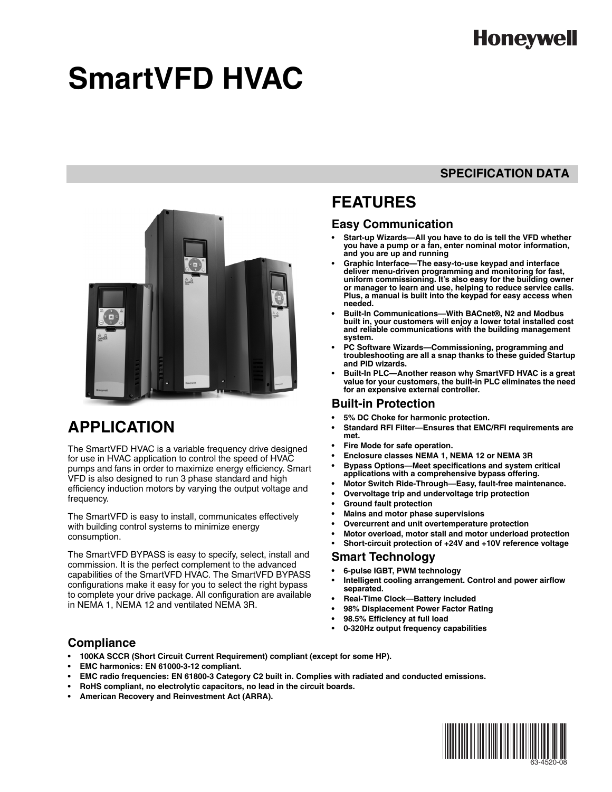# **Honeywell**

# **SmartVFD HVAC**

### **SPECIFICATION DATA**



## **APPLICATION**

The SmartVFD HVAC is a variable frequency drive designed for use in HVAC application to control the speed of HVAC pumps and fans in order to maximize energy efficiency. Smart VFD is also designed to run 3 phase standard and high efficiency induction motors by varying the output voltage and frequency.

The SmartVFD is easy to install, communicates effectively with building control systems to minimize energy consumption.

The SmartVFD BYPASS is easy to specify, select, install and commission. It is the perfect complement to the advanced capabilities of the SmartVFD HVAC. The SmartVFD BYPASS configurations make it easy for you to select the right bypass to complete your drive package. All configuration are available in NEMA 1, NEMA 12 and ventilated NEMA 3R.

### **FEATURES**

### **Easy Communication**

- **Start-up Wizards—All you have to do is tell the VFD whether you have a pump or a fan, enter nominal motor information, and you are up and running**
- **Graphic Interface—The easy-to-use keypad and interface deliver menu-driven programming and monitoring for fast, uniform commissioning. It's also easy for the building owner or manager to learn and use, helping to reduce service calls. Plus, a manual is built into the keypad for easy access when needed.**
- **Built-In Communications—With BACnet®, N2 and Modbus built in, your customers will enjoy a lower total installed cost and reliable communications with the building management system.**
- **PC Software Wizards—Commissioning, programming and troubleshooting are all a snap thanks to these guided Startup and PID wizards.**
- **Built-In PLC—Another reason why SmartVFD HVAC is a great value for your customers, the built-in PLC eliminates the need for an expensive external controller.**

### **Built-in Protection**

- **5% DC Choke for harmonic protection.**
- **Standard RFI Filter—Ensures that EMC/RFI requirements are met.**
- **Fire Mode for safe operation.**
- **Enclosure classes NEMA 1, NEMA 12 or NEMA 3R**
- **Bypass Options—Meet specifications and system critical applications with a comprehensive bypass offering.**
- **Motor Switch Ride-Through—Easy, fault-free maintenance.**
- **Overvoltage trip and undervoltage trip protection**
- **Ground fault protection**
- **Mains and motor phase supervisions**
- **Overcurrent and unit overtemperature protection**
- **Motor overload, motor stall and motor underload protection**
- **Short-circuit protection of +24V and +10V reference voltage**

### **Smart Technology**

- **6-pulse IGBT, PWM technology**
- **Intelligent cooling arrangement. Control and power airflow separated.**
- **Real-Time Clock—Battery included**
- **98% Displacement Power Factor Rating**
- **98.5% Efficiency at full load**
- **0-320Hz output frequency capabilities**

### **Compliance**

- **100KA SCCR (Short Circuit Current Requirement) compliant (except for some HP).**
- **EMC harmonics: EN 61000-3-12 compliant.**
- **EMC radio frequencies: EN 61800-3 Category C2 built in. Complies with radiated and conducted emissions.**
- **RoHS compliant, no electrolytic capacitors, no lead in the circuit boards.**
- **American Recovery and Reinvestment Act (ARRA).**

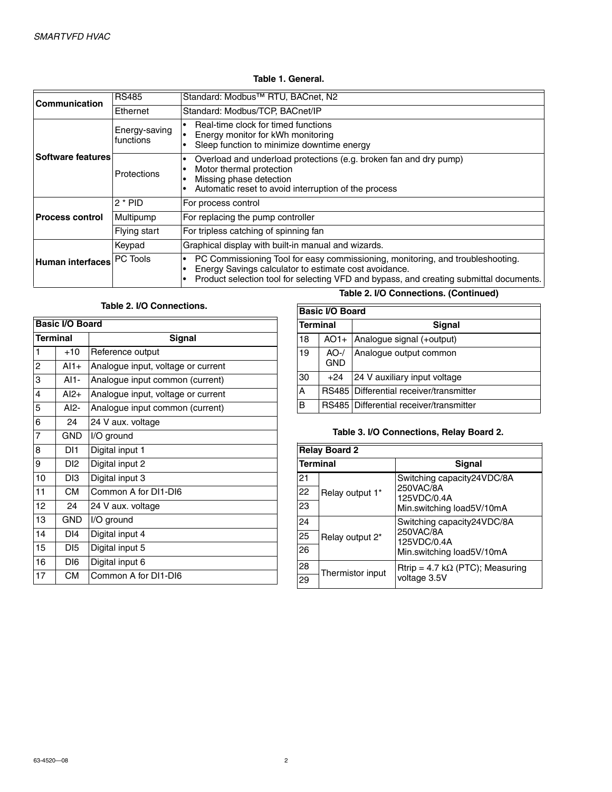### **Table 1. General.**

| <b>Communication</b>       | <b>RS485</b>               | Standard: Modbus <sup>™</sup> RTU, BACnet, N2                                                                                                                                                                                     |
|----------------------------|----------------------------|-----------------------------------------------------------------------------------------------------------------------------------------------------------------------------------------------------------------------------------|
|                            | Ethernet                   | Standard: Modbus/TCP, BACnet/IP                                                                                                                                                                                                   |
|                            | Energy-saving<br>functions | Real-time clock for timed functions<br>Energy monitor for kWh monitoring<br>Sleep function to minimize downtime energy                                                                                                            |
| <b>Software features</b> l | Protections                | Overload and underload protections (e.g. broken fan and dry pump)<br>Motor thermal protection<br>Missing phase detection<br>Automatic reset to avoid interruption of the process                                                  |
|                            | $2 * PID$                  | For process control                                                                                                                                                                                                               |
| <b>Process control</b>     | Multipump                  | For replacing the pump controller                                                                                                                                                                                                 |
|                            | Flying start               | For tripless catching of spinning fan                                                                                                                                                                                             |
|                            | Keypad                     | Graphical display with built-in manual and wizards.                                                                                                                                                                               |
| Human interfaces PC Tools  |                            | PC Commissioning Tool for easy commissioning, monitoring, and troubleshooting.<br>Energy Savings calculator to estimate cost avoidance.<br>Product selection tool for selecting VFD and bypass, and creating submittal documents. |

### **Table 2. I/O Connections.**

| <b>Basic I/O Board</b> |                 |                                    |  |  |  |  |  |
|------------------------|-----------------|------------------------------------|--|--|--|--|--|
| Terminal               |                 | Signal                             |  |  |  |  |  |
| 1                      | $+10$           | Reference output                   |  |  |  |  |  |
| 2                      | $AI1+$          | Analogue input, voltage or current |  |  |  |  |  |
| 3                      | $AI1-$          | Analogue input common (current)    |  |  |  |  |  |
| 4                      | $AI2+$          | Analogue input, voltage or current |  |  |  |  |  |
| 5                      | $AI2-$          | Analogue input common (current)    |  |  |  |  |  |
| 6                      | 24              | 24 V aux. voltage                  |  |  |  |  |  |
| $\overline{7}$         | <b>GND</b>      | I/O ground                         |  |  |  |  |  |
| 8                      | DI1             | Digital input 1                    |  |  |  |  |  |
| 9                      | DI2.            | Digital input 2                    |  |  |  |  |  |
| 10                     | DI3             | Digital input 3                    |  |  |  |  |  |
| 11                     | <b>CM</b>       | Common A for DI1-DI6               |  |  |  |  |  |
| 12                     | 24              | 24 V aux. voltage                  |  |  |  |  |  |
| 13                     | <b>GND</b>      | I/O ground                         |  |  |  |  |  |
| 14                     | DI <sub>4</sub> | Digital input 4                    |  |  |  |  |  |
| 15                     | DI5             | Digital input 5                    |  |  |  |  |  |
| 16                     | DI6             | Digital input 6                    |  |  |  |  |  |
| 17                     | <b>CM</b>       | Common A for DI1-DI6               |  |  |  |  |  |

### **Table 2. I/O Connections. (Continued)**

|                 | <b>Basic I/O Board</b> |                                         |  |  |  |  |  |  |  |
|-----------------|------------------------|-----------------------------------------|--|--|--|--|--|--|--|
| <b>Terminal</b> |                        | <b>Signal</b>                           |  |  |  |  |  |  |  |
| 18              | $AO1+$                 | Analogue signal (+output)               |  |  |  |  |  |  |  |
| 19              | $AO-$ /<br><b>GND</b>  | Analogue output common                  |  |  |  |  |  |  |  |
| 30              | $+24$                  | 24 V auxiliary input voltage            |  |  |  |  |  |  |  |
| A               |                        | RS485 Differential receiver/transmitter |  |  |  |  |  |  |  |
| в               |                        | RS485 Differential receiver/transmitter |  |  |  |  |  |  |  |

### **Table 3. I/O Connections, Relay Board 2.**

|                 | <b>Relay Board 2</b> |                                         |  |  |  |  |  |  |  |
|-----------------|----------------------|-----------------------------------------|--|--|--|--|--|--|--|
| <b>Terminal</b> |                      | Signal                                  |  |  |  |  |  |  |  |
| 21              |                      | Switching capacity24VDC/8A              |  |  |  |  |  |  |  |
| 22              | Relay output 1*      | 250VAC/8A<br>125VDC/0.4A                |  |  |  |  |  |  |  |
| 23              |                      | Min.switching load5V/10mA               |  |  |  |  |  |  |  |
| 24              |                      | Switching capacity24VDC/8A              |  |  |  |  |  |  |  |
| 25              | Relay output 2*      | 250VAC/8A<br>125VDC/0.4A                |  |  |  |  |  |  |  |
| 26              |                      | Min.switching load5V/10mA               |  |  |  |  |  |  |  |
| 28              | Thermistor input     | Rtrip = 4.7 k $\Omega$ (PTC); Measuring |  |  |  |  |  |  |  |
| 29              |                      | voltage 3.5V                            |  |  |  |  |  |  |  |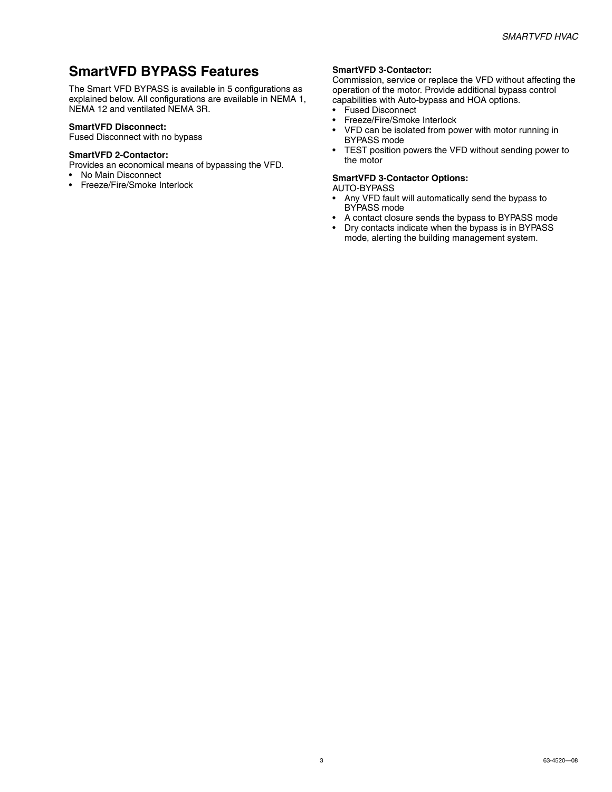### **SmartVFD BYPASS Features**

The Smart VFD BYPASS is available in 5 configurations as explained below. All configurations are available in NEMA 1, NEMA 12 and ventilated NEMA 3R.

### **SmartVFD Disconnect:**

Fused Disconnect with no bypass

### **SmartVFD 2-Contactor:**

Provides an economical means of bypassing the VFD.

- No Main Disconnect
- Freeze/Fire/Smoke Interlock

#### **SmartVFD 3-Contactor:**

Commission, service or replace the VFD without affecting the operation of the motor. Provide additional bypass control capabilities with Auto-bypass and HOA options.

- Fused Disconnect<br>• Freeze/Fire/Smoke
- Freeze/Fire/Smoke Interlock
- VFD can be isolated from power with motor running in BYPASS mode
- TEST position powers the VFD without sending power to the motor

### **SmartVFD 3-Contactor Options:**

AUTO-BYPASS

- Any VFD fault will automatically send the bypass to BYPASS mode
- A contact closure sends the bypass to BYPASS mode
- Dry contacts indicate when the bypass is in BYPASS mode, alerting the building management system.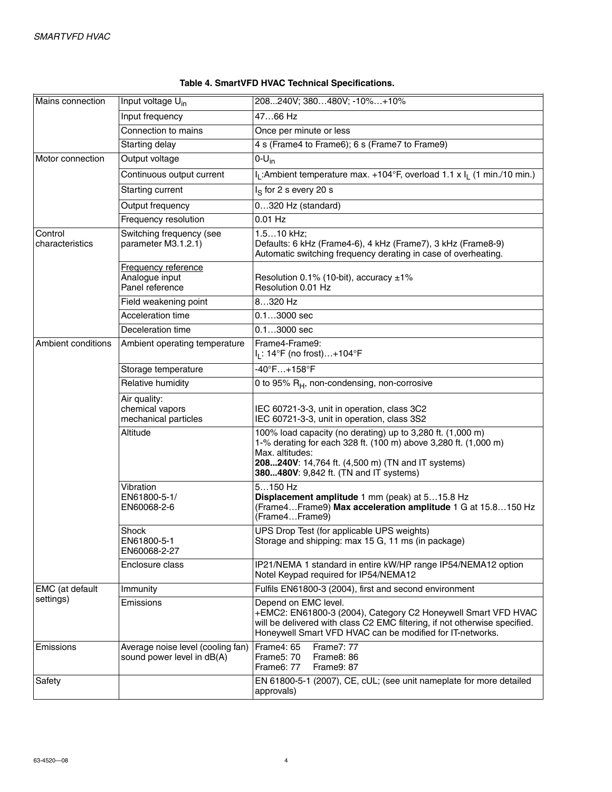| Mains connection           | Input voltage U <sub>in</sub>                                   | 208240V; 380480V; -10%+10%                                                                                                                                                                                                                      |  |  |  |  |  |
|----------------------------|-----------------------------------------------------------------|-------------------------------------------------------------------------------------------------------------------------------------------------------------------------------------------------------------------------------------------------|--|--|--|--|--|
|                            | Input frequency                                                 | 4766 Hz                                                                                                                                                                                                                                         |  |  |  |  |  |
|                            | Connection to mains                                             | Once per minute or less                                                                                                                                                                                                                         |  |  |  |  |  |
|                            | Starting delay                                                  | 4 s (Frame4 to Frame6); 6 s (Frame7 to Frame9)                                                                                                                                                                                                  |  |  |  |  |  |
| Motor connection           | Output voltage                                                  | $0-U_{in}$                                                                                                                                                                                                                                      |  |  |  |  |  |
|                            | Continuous output current                                       | I <sub>I</sub> : Ambient temperature max. +104°F, overload 1.1 x I <sub>I</sub> (1 min./10 min.)                                                                                                                                                |  |  |  |  |  |
|                            | Starting current                                                | $IS$ for 2 s every 20 s                                                                                                                                                                                                                         |  |  |  |  |  |
|                            | Output frequency                                                | 0320 Hz (standard)                                                                                                                                                                                                                              |  |  |  |  |  |
|                            | Frequency resolution                                            | $0.01$ Hz                                                                                                                                                                                                                                       |  |  |  |  |  |
| Control<br>characteristics | Switching frequency (see<br>parameter M3.1.2.1)                 | 1.510 kHz;<br>Defaults: 6 kHz (Frame4-6), 4 kHz (Frame7), 3 kHz (Frame8-9)<br>Automatic switching frequency derating in case of overheating.                                                                                                    |  |  |  |  |  |
|                            | Frequency reference<br>Analogue input<br>Panel reference        | Resolution 0.1% (10-bit), accuracy ±1%<br>Resolution 0.01 Hz                                                                                                                                                                                    |  |  |  |  |  |
|                            | Field weakening point                                           | 8320 Hz                                                                                                                                                                                                                                         |  |  |  |  |  |
|                            | <b>Acceleration time</b>                                        | $0.13000$ sec                                                                                                                                                                                                                                   |  |  |  |  |  |
|                            | Deceleration time                                               | $0.13000$ sec                                                                                                                                                                                                                                   |  |  |  |  |  |
| Ambient conditions         | Ambient operating temperature                                   | Frame4-Frame9:<br>I <sub>L</sub> : 14°F (no frost)+104°F                                                                                                                                                                                        |  |  |  |  |  |
|                            | Storage temperature                                             | $-40^{\circ}$ F+158°F                                                                                                                                                                                                                           |  |  |  |  |  |
|                            | Relative humidity                                               | 0 to 95% R <sub>H</sub> , non-condensing, non-corrosive                                                                                                                                                                                         |  |  |  |  |  |
|                            | Air quality:<br>chemical vapors<br>mechanical particles         | IEC 60721-3-3, unit in operation, class 3C2<br>IEC 60721-3-3, unit in operation, class 3S2                                                                                                                                                      |  |  |  |  |  |
|                            | Altitude                                                        | 100% load capacity (no derating) up to 3,280 ft. (1,000 m)<br>1-% derating for each 328 ft. (100 m) above 3,280 ft. (1,000 m)<br>Max. altitudes:<br>208240V: 14,764 ft. (4,500 m) (TN and IT systems)<br>380480V: 9,842 ft. (TN and IT systems) |  |  |  |  |  |
|                            | Vibration<br>EN61800-5-1/<br>EN60068-2-6                        | $5150$ Hz<br>Displacement amplitude 1 mm (peak) at 515.8 Hz<br>(Frame4Frame9) Max acceleration amplitude 1 G at 15.8150 Hz<br>(Frame4Frame9)                                                                                                    |  |  |  |  |  |
|                            | Shock<br>EN61800-5-1<br>EN60068-2-27                            | UPS Drop Test (for applicable UPS weights)<br>Storage and shipping: max 15 G, 11 ms (in package)                                                                                                                                                |  |  |  |  |  |
|                            | Enclosure class                                                 | IP21/NEMA 1 standard in entire kW/HP range IP54/NEMA12 option<br>Notel Keypad required for IP54/NEMA12                                                                                                                                          |  |  |  |  |  |
| <b>EMC</b> (at default     | Immunity                                                        | Fulfils EN61800-3 (2004), first and second environment                                                                                                                                                                                          |  |  |  |  |  |
| settings)                  | Emissions                                                       | Depend on EMC level.<br>+EMC2: EN61800-3 (2004), Category C2 Honeywell Smart VFD HVAC<br>will be delivered with class C2 EMC filtering, if not otherwise specified.<br>Honeywell Smart VFD HVAC can be modified for IT-networks.                |  |  |  |  |  |
| Emissions                  | Average noise level (cooling fan)<br>sound power level in dB(A) | Frame4: 65<br><b>Frame7: 77</b><br>Frame5: 70<br><b>Frame8: 86</b><br>Frame6: 77<br>Frame9: 87                                                                                                                                                  |  |  |  |  |  |
| Safety                     |                                                                 | EN 61800-5-1 (2007), CE, cUL; (see unit nameplate for more detailed<br>approvals)                                                                                                                                                               |  |  |  |  |  |

### **Table 4. SmartVFD HVAC Technical Specifications.**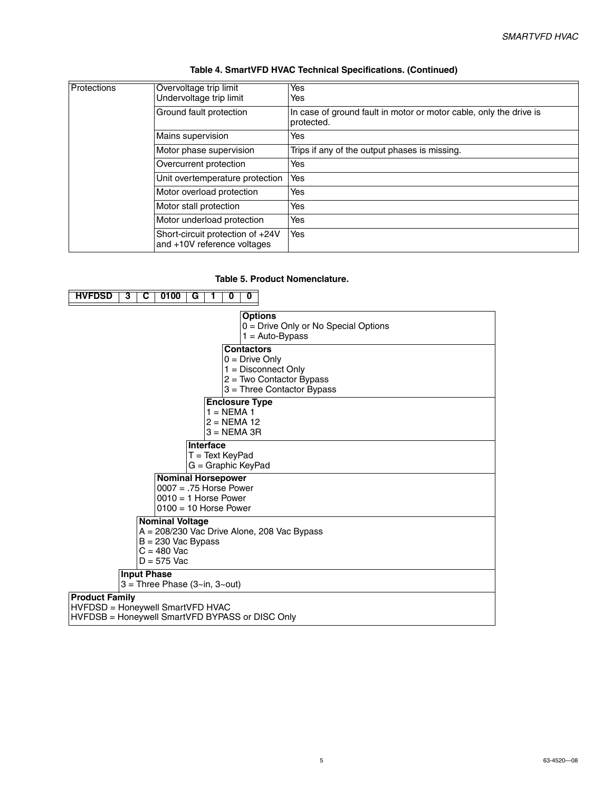| <b>Protections</b> | Overvoltage trip limit<br>Undervoltage trip limit               | Yes<br>Yes                                                                       |
|--------------------|-----------------------------------------------------------------|----------------------------------------------------------------------------------|
|                    | Ground fault protection                                         | In case of ground fault in motor or motor cable, only the drive is<br>protected. |
|                    | Mains supervision                                               | Yes                                                                              |
|                    | Motor phase supervision                                         | Trips if any of the output phases is missing.                                    |
|                    | Overcurrent protection                                          | Yes                                                                              |
|                    | Unit overtemperature protection                                 | Yes                                                                              |
|                    | Motor overload protection                                       | Yes                                                                              |
|                    | Motor stall protection                                          | Yes                                                                              |
|                    | Motor underload protection                                      | Yes                                                                              |
|                    | Short-circuit protection of +24V<br>and +10V reference voltages | Yes                                                                              |

#### **Table 4. SmartVFD HVAC Technical Specifications. (Continued)**

### **Table 5. Product Nomenclature.**

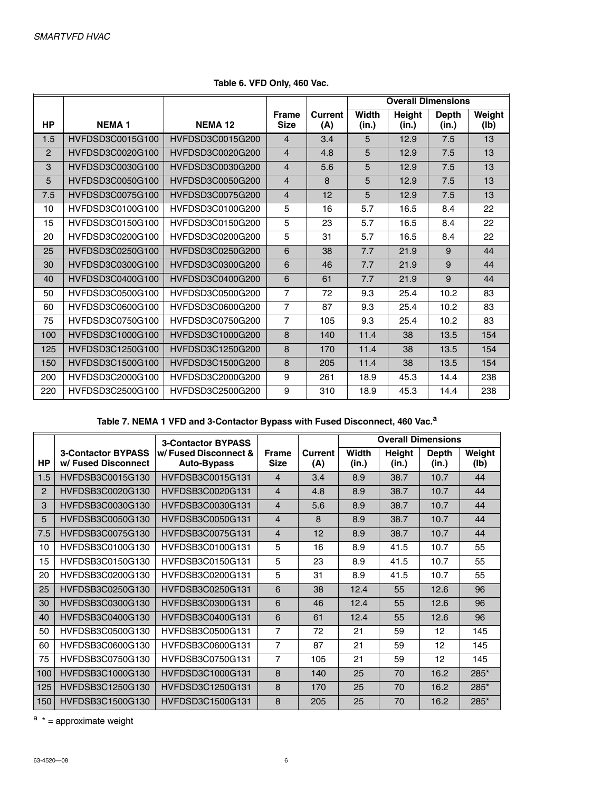|                |                  |                  |                             |                | <b>Overall Dimensions</b> |                 |                       |                |
|----------------|------------------|------------------|-----------------------------|----------------|---------------------------|-----------------|-----------------------|----------------|
| <b>HP</b>      | <b>NEMA1</b>     | <b>NEMA12</b>    | <b>Frame</b><br><b>Size</b> | Current<br>(A) | Width<br>(in.)            | Height<br>(in.) | <b>Depth</b><br>(in.) | Weight<br>(Ib) |
| 1.5            | HVFDSD3C0015G100 | HVFDSD3C0015G200 | 4                           | 3.4            | 5                         | 12.9            | 7.5                   | 13             |
| $\overline{2}$ | HVFDSD3C0020G100 | HVFDSD3C0020G200 | 4                           | 4.8            | 5                         | 12.9            | 7.5                   | 13             |
| 3              | HVFDSD3C0030G100 | HVFDSD3C0030G200 | 4                           | 5.6            | 5                         | 12.9            | 7.5                   | 13             |
| 5              | HVFDSD3C0050G100 | HVFDSD3C0050G200 | 4                           | 8              | 5                         | 12.9            | 7.5                   | 13             |
| 7.5            | HVFDSD3C0075G100 | HVFDSD3C0075G200 | 4                           | 12             | 5                         | 12.9            | 7.5                   | 13             |
| 10             | HVFDSD3C0100G100 | HVFDSD3C0100G200 | 5                           | 16             | 5.7                       | 16.5            | 8.4                   | 22             |
| 15             | HVFDSD3C0150G100 | HVFDSD3C0150G200 | 5                           | 23             | 5.7                       | 16.5            | 8.4                   | 22             |
| 20             | HVFDSD3C0200G100 | HVFDSD3C0200G200 | 5                           | 31             | 5.7                       | 16.5            | 8.4                   | 22             |
| 25             | HVFDSD3C0250G100 | HVFDSD3C0250G200 | 6                           | 38             | 7.7                       | 21.9            | 9                     | 44             |
| 30             | HVFDSD3C0300G100 | HVFDSD3C0300G200 | 6                           | 46             | 7.7                       | 21.9            | 9                     | 44             |
| 40             | HVFDSD3C0400G100 | HVFDSD3C0400G200 | 6                           | 61             | 7.7                       | 21.9            | 9                     | 44             |
| 50             | HVFDSD3C0500G100 | HVFDSD3C0500G200 | 7                           | 72             | 9.3                       | 25.4            | 10.2                  | 83             |
| 60             | HVFDSD3C0600G100 | HVFDSD3C0600G200 | $\overline{7}$              | 87             | 9.3                       | 25.4            | 10.2                  | 83             |
| 75             | HVFDSD3C0750G100 | HVFDSD3C0750G200 | $\overline{7}$              | 105            | 9.3                       | 25.4            | 10.2                  | 83             |
| 100            | HVFDSD3C1000G100 | HVFDSD3C1000G200 | 8                           | 140            | 11.4                      | 38              | 13.5                  | 154            |
| 125            | HVFDSD3C1250G100 | HVFDSD3C1250G200 | 8                           | 170            | 11.4                      | 38              | 13.5                  | 154            |
| 150            | HVFDSD3C1500G100 | HVFDSD3C1500G200 | 8                           | 205            | 11.4                      | 38              | 13.5                  | 154            |
| 200            | HVFDSD3C2000G100 | HVFDSD3C2000G200 | 9                           | 261            | 18.9                      | 45.3            | 14.4                  | 238            |
| 220            | HVFDSD3C2500G100 | HVFDSD3C2500G200 | 9                           | 310            | 18.9                      | 45.3            | 14.4                  | 238            |

**Table 6. VFD Only, 460 Vac.**

**Table 7. NEMA 1 VFD and 3-Contactor Bypass with Fused Disconnect, 460 Vac.<sup>a</sup>**

|                |                                                  | <b>3-Contactor BYPASS</b>           |                             |                | <b>Overall Dimensions</b> |                        |                       |                |
|----------------|--------------------------------------------------|-------------------------------------|-----------------------------|----------------|---------------------------|------------------------|-----------------------|----------------|
| <b>HP</b>      | <b>3-Contactor BYPASS</b><br>w/ Fused Disconnect | w/Fused Disconnect &<br>Auto-Bypass | <b>Frame</b><br><b>Size</b> | Current<br>(A) | Width<br>(in.)            | <b>Height</b><br>(in.) | <b>Depth</b><br>(in.) | Weight<br>(lb) |
| 1.5            | HVFDSB3C0015G130                                 | HVFDSB3C0015G131                    | $\overline{4}$              | 3.4            | 8.9                       | 38.7                   | 10.7                  | 44             |
| $\overline{2}$ | HVFDSB3C0020G130                                 | HVFDSB3C0020G131                    | $\overline{4}$              | 4.8            | 8.9                       | 38.7                   | 10.7                  | 44             |
| 3              | HVFDSB3C0030G130                                 | HVFDSB3C0030G131                    | 4                           | 5.6            | 8.9                       | 38.7                   | 10.7                  | 44             |
| 5              | HVFDSB3C0050G130                                 | HVFDSB3C0050G131                    | 4                           | 8              | 8.9                       | 38.7                   | 10.7                  | 44             |
| 7.5            | HVFDSB3C0075G130                                 | HVFDSB3C0075G131                    | 4                           | 12             | 8.9                       | 38.7                   | 10.7                  | 44             |
| 10             | HVFDSB3C0100G130                                 | HVFDSB3C0100G131                    | 5                           | 16             | 8.9                       | 41.5                   | 10.7                  | 55             |
| 15             | HVFDSB3C0150G130                                 | HVFDSB3C0150G131                    | 5                           | 23             | 8.9                       | 41.5                   | 10.7                  | 55             |
| 20             | HVFDSB3C0200G130                                 | HVFDSB3C0200G131                    | 5                           | 31             | 8.9                       | 41.5                   | 10.7                  | 55             |
| 25             | HVFDSB3C0250G130                                 | HVFDSB3C0250G131                    | 6                           | 38             | 12.4                      | 55                     | 12.6                  | 96             |
| 30             | HVFDSB3C0300G130                                 | HVFDSB3C0300G131                    | 6                           | 46             | 12.4                      | 55                     | 12.6                  | 96             |
| 40             | HVFDSB3C0400G130                                 | HVFDSB3C0400G131                    | 6                           | 61             | 12.4                      | 55                     | 12.6                  | 96             |
| 50             | HVFDSB3C0500G130                                 | HVFDSB3C0500G131                    | 7                           | 72             | 21                        | 59                     | 12                    | 145            |
| 60             | HVFDSB3C0600G130                                 | HVFDSB3C0600G131                    | 7                           | 87             | 21                        | 59                     | 12                    | 145            |
| 75             | HVFDSB3C0750G130                                 | HVFDSB3C0750G131                    | 7                           | 105            | 21                        | 59                     | 12                    | 145            |
| 100            | HVFDSB3C1000G130                                 | HVFDSD3C1000G131                    | 8                           | 140            | 25                        | 70                     | 16.2                  | 285*           |
| 125            | HVFDSB3C1250G130                                 | HVFDSD3C1250G131                    | 8                           | 170            | 25                        | 70                     | 16.2                  | 285*           |
| 150            | HVFDSB3C1500G130                                 | HVFDSD3C1500G131                    | 8                           | 205            | 25                        | 70                     | 16.2                  | 285*           |

 $a *$  = approximate weight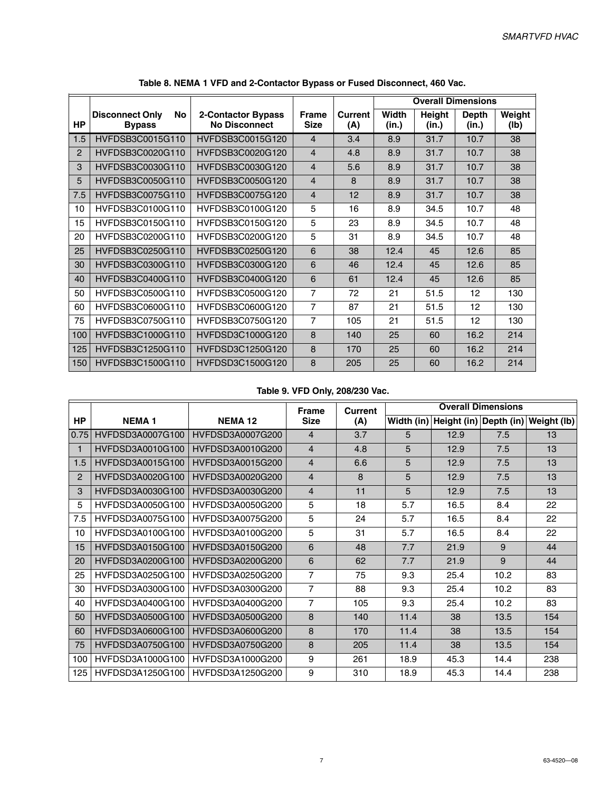|                |                                               |                                            |                             |                | <b>Overall Dimensions</b> |                        |                       |                |
|----------------|-----------------------------------------------|--------------------------------------------|-----------------------------|----------------|---------------------------|------------------------|-----------------------|----------------|
| <b>HP</b>      | No<br><b>Disconnect Only</b><br><b>Bypass</b> | 2-Contactor Bypass<br><b>No Disconnect</b> | <b>Frame</b><br><b>Size</b> | Current<br>(A) | <b>Width</b><br>(in.)     | <b>Height</b><br>(in.) | <b>Depth</b><br>(in.) | Weight<br>(Ib) |
| 1.5            | HVFDSB3C0015G110                              | HVFDSB3C0015G120                           | $\overline{4}$              | 3.4            | 8.9                       | 31.7                   | 10.7                  | 38             |
| $\overline{2}$ | HVFDSB3C0020G110                              | HVFDSB3C0020G120                           | $\overline{4}$              | 4.8            | 8.9                       | 31.7                   | 10.7                  | 38             |
| 3              | HVFDSB3C0030G110                              | HVFDSB3C0030G120                           | $\overline{4}$              | 5.6            | 8.9                       | 31.7                   | 10.7                  | 38             |
| 5              | HVFDSB3C0050G110                              | HVFDSB3C0050G120                           | 4                           | 8              | 8.9                       | 31.7                   | 10.7                  | 38             |
| 7.5            | HVFDSB3C0075G110                              | HVFDSB3C0075G120                           | 4                           | 12             | 8.9                       | 31.7                   | 10.7                  | 38             |
| 10             | HVFDSB3C0100G110                              | HVFDSB3C0100G120                           | 5                           | 16             | 8.9                       | 34.5                   | 10.7                  | 48             |
| 15             | HVFDSB3C0150G110                              | HVFDSB3C0150G120                           | 5                           | 23             | 8.9                       | 34.5                   | 10.7                  | 48             |
| 20             | HVFDSB3C0200G110                              | HVFDSB3C0200G120                           | 5                           | 31             | 8.9                       | 34.5                   | 10.7                  | 48             |
| 25             | HVFDSB3C0250G110                              | HVFDSB3C0250G120                           | 6                           | 38             | 12.4                      | 45                     | 12.6                  | 85             |
| 30             | HVFDSB3C0300G110                              | HVFDSB3C0300G120                           | 6                           | 46             | 12.4                      | 45                     | 12.6                  | 85             |
| 40             | HVFDSB3C0400G110                              | HVFDSB3C0400G120                           | 6                           | 61             | 12.4                      | 45                     | 12.6                  | 85             |
| 50             | HVFDSB3C0500G110                              | HVFDSB3C0500G120                           | $\overline{7}$              | 72             | 21                        | 51.5                   | 12                    | 130            |
| 60             | HVFDSB3C0600G110                              | HVFDSB3C0600G120                           | $\overline{7}$              | 87             | 21                        | 51.5                   | 12                    | 130            |
| 75             | HVFDSB3C0750G110                              | HVFDSB3C0750G120                           | $\overline{7}$              | 105            | 21                        | 51.5                   | 12                    | 130            |
| 100            | HVFDSB3C1000G110                              | HVFDSD3C1000G120                           | $\mathbf{8}$                | 140            | 25                        | 60                     | 16.2                  | 214            |
| 125            | HVFDSB3C1250G110                              | HVFDSD3C1250G120                           | 8                           | 170            | 25                        | 60                     | 16.2                  | 214            |
| 150            | HVFDSB3C1500G110                              | HVFDSD3C1500G120                           | $\mathbf{8}$                | 205            | 25                        | 60                     | 16.2                  | 214            |

**Table 8. NEMA 1 VFD and 2-Contactor Bypass or Fused Disconnect, 460 Vac.**

### **Table 9. VFD Only, 208/230 Vac.**

|           |                  |                  | Frame          | Current | <b>Overall Dimensions</b> |                        |      |                        |
|-----------|------------------|------------------|----------------|---------|---------------------------|------------------------|------|------------------------|
| <b>HP</b> | <b>NEMA1</b>     | <b>NEMA 12</b>   | <b>Size</b>    | (A)     |                           | Width (in) Height (in) |      | Depth (in) Weight (lb) |
| 0.75      | HVFDSD3A0007G100 | HVFDSD3A0007G200 | 4              | 3.7     | 5                         | 12.9                   | 7.5  | 13                     |
|           | HVFDSD3A0010G100 | HVFDSD3A0010G200 | $\overline{4}$ | 4.8     | 5                         | 12.9                   | 7.5  | 13                     |
| 1.5       | HVFDSD3A0015G100 | HVFDSD3A0015G200 | $\overline{4}$ | 6.6     | 5                         | 12.9                   | 7.5  | 13                     |
| 2         | HVFDSD3A0020G100 | HVFDSD3A0020G200 | $\overline{4}$ | 8       | 5                         | 12.9                   | 7.5  | 13                     |
| 3         | HVFDSD3A0030G100 | HVFDSD3A0030G200 | $\overline{4}$ | 11      | 5                         | 12.9                   | 7.5  | 13                     |
| 5         | HVFDSD3A0050G100 | HVFDSD3A0050G200 | 5              | 18      | 5.7                       | 16.5                   | 8.4  | 22                     |
| 7.5       | HVFDSD3A0075G100 | HVFDSD3A0075G200 | 5              | 24      | 5.7                       | 16.5                   | 8.4  | 22                     |
| 10        | HVFDSD3A0100G100 | HVFDSD3A0100G200 | 5              | 31      | 5.7                       | 16.5                   | 8.4  | 22                     |
| 15        | HVFDSD3A0150G100 | HVFDSD3A0150G200 | 6              | 48      | 7.7                       | 21.9                   | 9    | 44                     |
| 20        | HVFDSD3A0200G100 | HVFDSD3A0200G200 | 6              | 62      | 7.7                       | 21.9                   | 9    | 44                     |
| 25        | HVFDSD3A0250G100 | HVFDSD3A0250G200 | $\overline{7}$ | 75      | 9.3                       | 25.4                   | 10.2 | 83                     |
| 30        | HVFDSD3A0300G100 | HVFDSD3A0300G200 | $\overline{7}$ | 88      | 9.3                       | 25.4                   | 10.2 | 83                     |
| 40        | HVFDSD3A0400G100 | HVFDSD3A0400G200 | $\overline{7}$ | 105     | 9.3                       | 25.4                   | 10.2 | 83                     |
| 50        | HVFDSD3A0500G100 | HVFDSD3A0500G200 | $\mathbf{8}$   | 140     | 11.4                      | 38                     | 13.5 | 154                    |
| 60        | HVFDSD3A0600G100 | HVFDSD3A0600G200 | 8              | 170     | 11.4                      | 38                     | 13.5 | 154                    |
| 75        | HVFDSD3A0750G100 | HVFDSD3A0750G200 | 8              | 205     | 11.4                      | 38                     | 13.5 | 154                    |
| 100       | HVFDSD3A1000G100 | HVFDSD3A1000G200 | 9              | 261     | 18.9                      | 45.3                   | 14.4 | 238                    |
| 125       | HVFDSD3A1250G100 | HVFDSD3A1250G200 | 9              | 310     | 18.9                      | 45.3                   | 14.4 | 238                    |